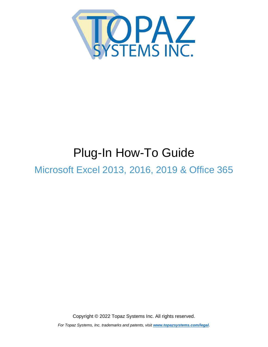<span id="page-0-0"></span>

# Plug-In How-To Guide

Microsoft Excel 2013, 2016, 2019 & Office 365

Copyright © 2022 Topaz Systems Inc. All rights reserved.

*For Topaz Systems, Inc. trademarks and patents, visit [www.topazsystems.com/legal.](http://www.topazsystems.com/termsconditions.html)*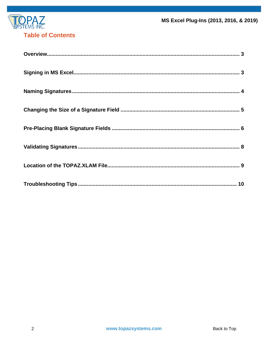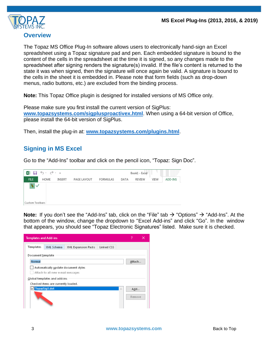

#### <span id="page-2-0"></span>**Overview**

The Topaz MS Office Plug-In software allows users to electronically hand-sign an Excel spreadsheet using a Topaz signature pad and pen. Each embedded signature is bound to the content of the cells in the spreadsheet at the time it is signed, so any changes made to the spreadsheet after signing renders the signature(s) invalid. If the file's content is returned to the state it was when signed, then the signature will once again be valid. A signature is bound to the cells in the sheet it is embedded in. Please note that form fields (such as drop-down menus, radio buttons, etc.) are excluded from the binding process.

**Note:** This Topaz Office plugin is designed for installed versions of MS Office only.

Please make sure you first install the current version of SigPlus: **[www.topazsystems.com/sigplusproactivex.html](http://www.topazsystems.com/sigplusproactivex.html)**. When using a 64-bit version of Office, please install the 64-bit version of SigPlus.

<span id="page-2-1"></span>Then, install the plug-in at: **[www.topazsystems.com/plugins.html](http://www.topazsystems.com/plugins.html)**.

## **Signing in MS Excel**

Go to the "Add-Ins" toolbar and click on the pencil icon, "Topaz: Sign Doc".



**Note:** If you don't see the "Add-Ins" tab, click on the "File" tab → "Options" → "Add-Ins". At the bottom of the window, change the dropdown to "Excel Add-ins" and click "Go". In the window that appears, you should see "Topaz Electronic Signatures" listed. Make sure it is checked.

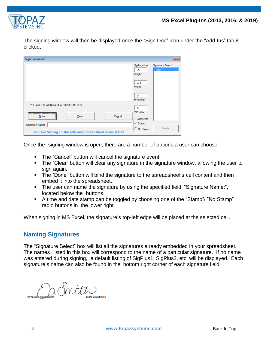

The signing window will then be displayed once the "Sign Doc" icon under the "Add-Ins" tab is clicked.

| <b>Sign Document</b>                                     | $\mathbf{x}$                                                   |
|----------------------------------------------------------|----------------------------------------------------------------|
|                                                          | Signature Select<br>Sig Location<br><b>New</b><br>.5<br>Height |
|                                                          | 2.5<br>Width                                                   |
|                                                          | $\Omega$<br><b>H</b> Position                                  |
| YOU ARE CREATING A NEW SIGNATURE BOX                     | $\Omega$                                                       |
| Cancel<br>Clear<br>Done                                  | V Position<br>Date/Time                                        |
| Signature Name:                                          | C Stamp                                                        |
| You Are Signing To The Following Spreadsheet Area: A1:A1 | <b>Delete</b><br>C No Stamp                                    |

Once the signing window is open, there are a number of options a user can choose:

- The "Cancel" button will cancel the signature event.
- The "Clear" button will clear any signature in the signature window, allowing the user to sign again.
- The "Done" button will bind the signature to the spreadsheet's cell content and then embed it into the spreadsheet.
- The user can name the signature by using the specified field, "Signature Name:", located below the buttons.
- A time and date stamp can be toggled by choosing one of the "Stamp"/ "No Stamp" radio buttons in the lower right.

<span id="page-3-0"></span>When signing in MS Excel, the signature's top-left edge will be placed at the selected cell.

## **Naming Signatures**

The "Signature Select" box will list all the signatures already embedded in your spreadsheet. The names listed in this box will correspond to the name of a particular signature. If no name was entered during signing, a default listing of SigPlus1, SigPlus2, etc. will be displayed. Each signature's name can also be found in the bottom right corner of each signature field.

CaSnitti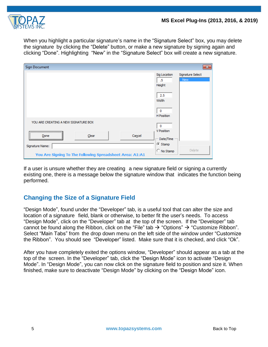

When you highlight a particular signature's name in the "Signature Select" box, you may delete the signature by clicking the "Delete" button, or make a new signature by signing again and clicking "Done". Highlighting "New" in the "Signature Select" box will create a new signature.

| <b>Sign Document</b>                                     | $\mathbf{x}$                                                   |
|----------------------------------------------------------|----------------------------------------------------------------|
|                                                          | Signature Select<br>Sig Location<br><b>New</b><br>.5<br>Height |
|                                                          | 2.5<br>Width                                                   |
|                                                          | 0<br>H Position                                                |
| YOU ARE CREATING A NEW SIGNATURE BOX                     | o                                                              |
| Cancel<br>Clear<br>Done                                  | V Position<br>Date/Time                                        |
| Signature Name:                                          | G Stamp                                                        |
| You Are Signing To The Following Spreadsheet Area: A1:A1 | <b>Delete</b><br>C No Stamp                                    |

If a user is unsure whether they are creating a new signature field or signing a currently existing one, there is a message below the signature window that indicates the function being performed.

# <span id="page-4-0"></span>**Changing the Size of a Signature Field**

"Design Mode", found under the "Developer" tab, is a useful tool that can alter the size and location of a signature field, blank or otherwise, to better fit the user's needs. To access "Design Mode", click on the "Developer" tab at the top of the screen. If the "Developer" tab cannot be found along the Ribbon, click on the "File" tab  $\rightarrow$  "Options"  $\rightarrow$  "Customize Ribbon". Select "Main Tabs" from the drop down menu on the left side of the window under "Customize the Ribbon". You should see "Developer" listed. Make sure that it is checked, and click "Ok".

<span id="page-4-1"></span>After you have completely exited the options window, "Developer" should appear as a tab at the top of the screen. In the "Developer" tab, click the "Design Mode" icon to activate "Design Mode". In "Design Mode", you can now click on the signature field to position and size it. When finished, make sure to deactivate "Design Mode" by clicking on the "Design Mode" icon.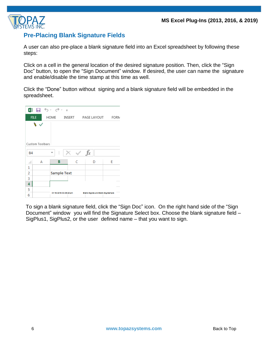

## **Pre-Placing Blank Signature Fields**

A user can also pre-place a blank signature field into an Excel spreadsheet by following these steps:

Click on a cell in the general location of the desired signature position. Then, click the "Sign Doc" button, to open the "Sign Document" window. If desired, the user can name the signature and enable/disable the time stamp at this time as well.

Click the "Done" button without signing and a blank signature field will be embedded in the spreadsheet.



To sign a blank signature field, click the "Sign Doc" icon. On the right hand side of the "Sign Document" window you will find the Signature Select box. Choose the blank signature field – SigPlus1, SigPlus2, or the user defined name – that you want to sign.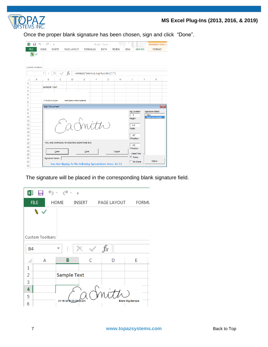

Once the proper blank signature has been chosen, sign and click "Done".

|                | $x \parallel$        | - ちゃ ぎゃ す              |                                                          |                                  |                 | Book1 - Excel                      |      |               |                          |                     | <b>DRAWING TOOLS</b>                  |                         |
|----------------|----------------------|------------------------|----------------------------------------------------------|----------------------------------|-----------------|------------------------------------|------|---------------|--------------------------|---------------------|---------------------------------------|-------------------------|
| <b>FILE</b>    |                      | HOME                   | <b>INSERT</b>                                            | PAGE LAYOUT                      | <b>FORMULAS</b> |                                    | DATA | <b>REVIEW</b> | VIEW                     | <b>ADD-INS</b>      | <b>FORMAT</b>                         |                         |
|                | N<br>Custom Toolbars | ÷                      |                                                          | $f_x$                            |                 | =EMBED("SIGPLUS.SigPlusCtrl.1","") |      |               |                          |                     |                                       |                         |
|                |                      |                        |                                                          |                                  |                 |                                    |      |               |                          |                     |                                       |                         |
| ⊿              | A                    | B                      | C                                                        | D                                | E               | F                                  | G    | н             | I                        | J                   | Κ                                     |                         |
| 1              |                      | <b>Sample Text</b>     |                                                          |                                  |                 |                                    |      |               |                          |                     |                                       |                         |
| 2<br>3         |                      |                        |                                                          |                                  |                 |                                    |      |               |                          |                     |                                       |                         |
| 4              |                      |                        |                                                          |                                  |                 |                                    |      |               |                          |                     |                                       |                         |
| 5              |                      |                        |                                                          |                                  |                 |                                    |      |               |                          |                     |                                       |                         |
| 6              |                      | 01/15/2015 03:39:20 pm |                                                          | Blank Signature-Blank Sig Sample |                 |                                    |      |               |                          |                     |                                       |                         |
| $\overline{7}$ |                      | <b>Sign Document</b>   |                                                          |                                  |                 |                                    |      |               |                          |                     |                                       | $\overline{\mathbf{x}}$ |
| 8              |                      |                        |                                                          |                                  |                 |                                    |      |               |                          | <b>Sig Location</b> | Signature Select                      |                         |
| 9<br>10        |                      |                        |                                                          |                                  |                 |                                    |      |               | .5                       |                     | <b>New</b><br><b>Blank Sig Sample</b> |                         |
| 11             |                      |                        |                                                          |                                  |                 |                                    |      |               | Height                   |                     |                                       |                         |
| 12             |                      |                        |                                                          |                                  |                 | Inith                              |      |               | 2.5                      |                     |                                       |                         |
| 13             |                      |                        |                                                          |                                  |                 |                                    |      |               | Width                    |                     |                                       |                         |
| 14             |                      |                        |                                                          |                                  |                 |                                    |      |               |                          |                     |                                       |                         |
| 15             |                      |                        |                                                          |                                  |                 |                                    |      |               | .67<br><b>H</b> Position |                     |                                       |                         |
| 16<br>17       |                      |                        | YOU ARE CHANGING AN EXISTING SIGNATURE BOX               |                                  |                 |                                    |      |               |                          |                     |                                       |                         |
| 18             |                      |                        |                                                          |                                  |                 |                                    |      |               | .63                      |                     |                                       |                         |
| 19             |                      |                        | Done                                                     |                                  | Clear           |                                    |      | Cancel        |                          | <b>V</b> Position   |                                       |                         |
| 20             |                      |                        |                                                          |                                  |                 |                                    |      |               |                          | Date/Time           |                                       |                         |
| 21             |                      | Signature Name:        |                                                          |                                  |                 |                                    |      |               | $\sqrt{\bullet}$ Stamp   |                     |                                       |                         |
| 22             |                      |                        | You Are Signing To The Following Spreadsheet Area: A1:C2 |                                  |                 |                                    |      |               |                          | C No Stamp          | <b>Delete</b>                         |                         |
| 23             |                      |                        |                                                          |                                  |                 |                                    |      |               |                          |                     |                                       |                         |

The signature will be placed in the corresponding blank signature field.

|                |    | X動 冒 う‐ ♂‐ 。    |                 |        |             |                         |
|----------------|----|-----------------|-----------------|--------|-------------|-------------------------|
| <b>FILE</b>    |    | HOME            |                 | INSERT | PAGE LAYOUT | FORML                   |
|                | しょ |                 |                 |        |             |                         |
|                |    |                 |                 |        |             |                         |
|                |    |                 |                 |        |             |                         |
|                |    | Custom Toolbars |                 |        |             |                         |
| <b>B4</b>      |    | ┳               | t               |        | $f_x$       |                         |
|                | А  |                 | В               | Ċ      | D           | E                       |
| $\mathbf{1}$   |    |                 |                 |        |             |                         |
| $\overline{2}$ |    |                 | Sample Text     |        |             |                         |
| 3              |    |                 |                 |        |             |                         |
| 4              |    |                 |                 |        | Snitte      |                         |
| 5              |    |                 | 01/15/2015 03:3 |        |             | <b>Blank Sig Sample</b> |
| 6              |    |                 |                 |        |             |                         |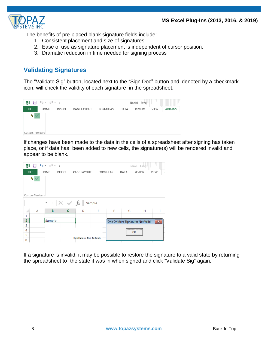

The benefits of pre-placed blank signature fields include:

- 1. Consistent placement and size of signatures.
- 2. Ease of use as signature placement is independent of cursor position.
- 3. Dramatic reduction in time needed for signing process

# <span id="page-7-0"></span>**Validating Signatures**

The "Validate Sig" button, located next to the "Sign Doc" button and denoted by a checkmark icon, will check the validity of each signature in the spreadsheet.



If changes have been made to the data in the cells of a spreadsheet after signing has taken place, or if data has been added to new cells, the signature(s) will be rendered invalid and appear to be blank.

| ×■ 日 ち・♂・÷<br>Book1 - Excel |                 |  |        |                       |                                  |                 |   |                                   |        |           |
|-----------------------------|-----------------|--|--------|-----------------------|----------------------------------|-----------------|---|-----------------------------------|--------|-----------|
|                             | <b>FILE</b>     |  | HOME   | <b>INSERT</b>         | PAGE LAYOUT                      | <b>FORMULAS</b> |   | DATA                              | REVIEW | VIEW<br>J |
| N                           |                 |  |        |                       |                                  |                 |   |                                   |        |           |
|                             |                 |  |        |                       |                                  |                 |   |                                   |        |           |
|                             |                 |  |        |                       |                                  |                 |   |                                   |        |           |
|                             | Custom Toolbars |  |        |                       |                                  |                 |   |                                   |        |           |
|                             |                 |  | ÷<br>÷ | $\times$ $\checkmark$ | fx                               | Sample          |   |                                   |        |           |
|                             |                 |  |        |                       |                                  |                 |   |                                   |        |           |
| ◢                           | $\overline{A}$  |  | в      | c                     | D                                | E               | F | G                                 | н      |           |
| 1                           |                 |  |        |                       |                                  |                 |   |                                   |        |           |
| $\overline{2}$              |                 |  | Sample |                       |                                  |                 |   | One Or More Signatures Not Valid! |        | $-x$      |
| 3                           |                 |  |        |                       |                                  |                 |   |                                   |        |           |
| 4                           |                 |  |        |                       |                                  |                 |   | <br>ОК                            |        |           |
| 5                           |                 |  |        |                       |                                  |                 |   |                                   |        |           |
| 6                           |                 |  |        |                       | Blank Signature-Blank Sig Sample |                 |   |                                   |        |           |

If a signature is invalid, it may be possible to restore the signature to a valid state by returning the spreadsheet to the state it was in when signed and click "Validate Sig" again.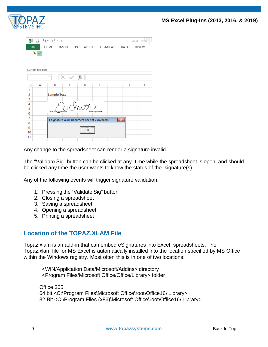

| x∄             |                      | 日うでき             |               |                                                |                         |              |      | Book1 - Excel |
|----------------|----------------------|------------------|---------------|------------------------------------------------|-------------------------|--------------|------|---------------|
|                | <b>FILE</b>          | <b>HOME</b>      | <b>INSERT</b> | PAGE LAYOUT                                    | <b>FORMULAS</b>         |              | DATA | <b>REVIEW</b> |
|                | P<br>Custom Toolbars | t<br>▼           |               | $f_x$                                          |                         |              |      |               |
| ◢              | A                    | B                | Ċ             | D                                              | E                       | F            | G    | н             |
| 1              |                      |                  |               |                                                |                         |              |      |               |
| $\overline{2}$ |                      | Sample Text      |               |                                                |                         |              |      |               |
| 3              |                      |                  |               |                                                |                         |              |      |               |
| 4              |                      |                  |               |                                                |                         |              |      |               |
| 5              |                      | 01/15/2015 03:39 |               |                                                |                         |              |      |               |
| 6              |                      |                  |               |                                                | <b>Blank Sig Sample</b> |              |      |               |
| 7              |                      |                  |               | 1 Signature Valid, Document Receipt = 872812e4 |                         | $\mathbf{x}$ |      |               |
| 8              |                      |                  |               |                                                |                         |              |      |               |
| 9              |                      |                  |               | OK                                             |                         |              |      |               |
| 10             |                      |                  |               |                                                |                         |              |      |               |
| 11             |                      |                  |               |                                                |                         |              |      |               |

Any change to the spreadsheet can render a signature invalid.

The "Validate Sig" button can be clicked at any time while the spreadsheet is open, and should be clicked any time the user wants to know the status of the signature(s).

Any of the following events will trigger signature validation:

- 1. Pressing the "Validate Sig" button
- 2. Closing a spreadsheet
- 3. Saving a spreadsheet
- 4. Opening a spreadsheet
- 5. Printing a spreadsheet

## <span id="page-8-0"></span>**Location of the TOPAZ.XLAM File**

Topaz.xlam is an add-in that can embed eSignatures into Excel spreadsheets. The Topaz.xlam file for MS Excel is automatically installed into the location specified by MS Office within the Windows registry. Most often this is in one of two locations:

<WIN/Application Data/Microsoft/Addins> directory <Program Files/Microsoft Office/Office/Library> folder

Office 365 64 bit <C:\Program Files\Microsoft Office\root\Office16\ Library> 32 Bit <C:\Program Files (x86)\Microsoft Office\root\Office16\ Library>